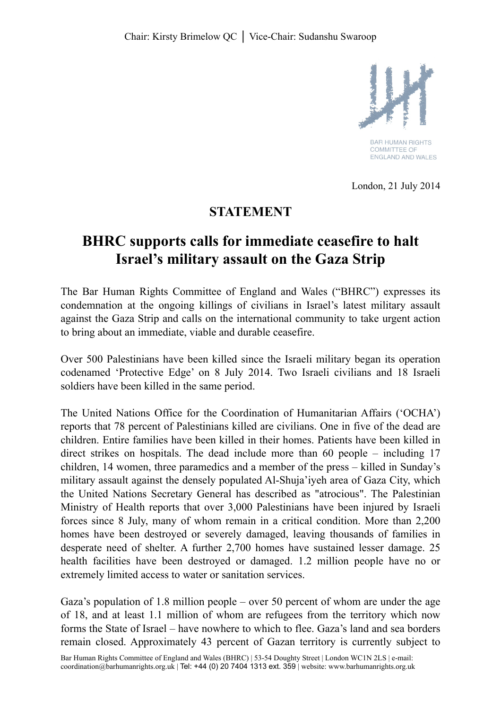

**BAR HUMAN RIGHTS COMMITTEE OF** FNGI AND AND WALES

London, 21 July 2014

## **STATEMENT**

## **BHRC supports calls for immediate ceasefire to halt Israel's military assault on the Gaza Strip**

The Bar Human Rights Committee of England and Wales ("BHRC") expresses its condemnation at the ongoing killings of civilians in Israel's latest military assault against the Gaza Strip and calls on the international community to take urgent action to bring about an immediate, viable and durable ceasefire.

Over 500 Palestinians have been killed since the Israeli military began its operation codenamed 'Protective Edge' on 8 July 2014. Two Israeli civilians and 18 Israeli soldiers have been killed in the same period.

The United Nations Office for the Coordination of Humanitarian Affairs ('OCHA') reports that 78 percent of Palestinians killed are civilians. One in five of the dead are children. Entire families have been killed in their homes. Patients have been killed in direct strikes on hospitals. The dead include more than 60 people – including 17 children, 14 women, three paramedics and a member of the press – killed in Sunday's military assault against the densely populated Al-Shuja'iyeh area of Gaza City, which the United Nations Secretary General has described as "atrocious". The Palestinian Ministry of Health reports that over 3,000 Palestinians have been injured by Israeli forces since 8 July, many of whom remain in a critical condition. More than 2,200 homes have been destroyed or severely damaged, leaving thousands of families in desperate need of shelter. A further 2,700 homes have sustained lesser damage. 25 health facilities have been destroyed or damaged. 1.2 million people have no or extremely limited access to water or sanitation services.

Gaza's population of 1.8 million people – over 50 percent of whom are under the age of 18, and at least 1.1 million of whom are refugees from the territory which now forms the State of Israel – have nowhere to which to flee. Gaza's land and sea borders remain closed. Approximately 43 percent of Gazan territory is currently subject to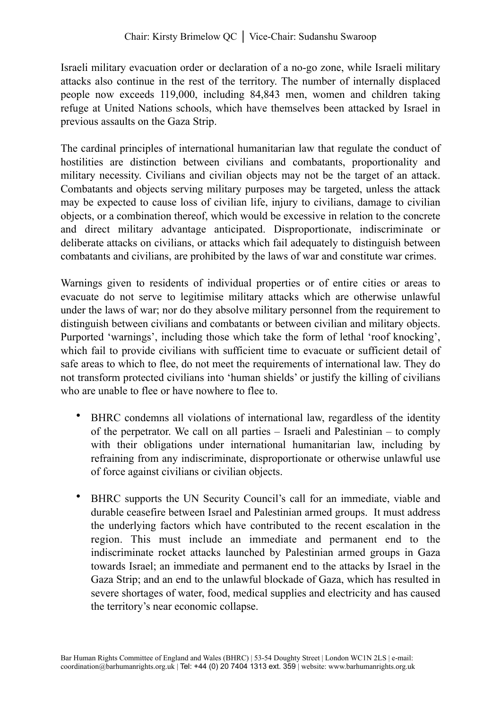Israeli military evacuation order or declaration of a no-go zone, while Israeli military attacks also continue in the rest of the territory. The number of internally displaced people now exceeds 119,000, including 84,843 men, women and children taking refuge at United Nations schools, which have themselves been attacked by Israel in previous assaults on the Gaza Strip.

The cardinal principles of international humanitarian law that regulate the conduct of hostilities are distinction between civilians and combatants, proportionality and military necessity. Civilians and civilian objects may not be the target of an attack. Combatants and objects serving military purposes may be targeted, unless the attack may be expected to cause loss of civilian life, injury to civilians, damage to civilian objects, or a combination thereof, which would be excessive in relation to the concrete and direct military advantage anticipated. Disproportionate, indiscriminate or deliberate attacks on civilians, or attacks which fail adequately to distinguish between combatants and civilians, are prohibited by the laws of war and constitute war crimes.

Warnings given to residents of individual properties or of entire cities or areas to evacuate do not serve to legitimise military attacks which are otherwise unlawful under the laws of war; nor do they absolve military personnel from the requirement to distinguish between civilians and combatants or between civilian and military objects. Purported 'warnings', including those which take the form of lethal 'roof knocking', which fail to provide civilians with sufficient time to evacuate or sufficient detail of safe areas to which to flee, do not meet the requirements of international law. They do not transform protected civilians into 'human shields' or justify the killing of civilians who are unable to flee or have nowhere to flee to.

- BHRC condemns all violations of international law, regardless of the identity of the perpetrator. We call on all parties – Israeli and Palestinian – to comply with their obligations under international humanitarian law, including by refraining from any indiscriminate, disproportionate or otherwise unlawful use of force against civilians or civilian objects.
- BHRC supports the UN Security Council's call for an immediate, viable and durable ceasefire between Israel and Palestinian armed groups. It must address the underlying factors which have contributed to the recent escalation in the region. This must include an immediate and permanent end to the indiscriminate rocket attacks launched by Palestinian armed groups in Gaza towards Israel; an immediate and permanent end to the attacks by Israel in the Gaza Strip; and an end to the unlawful blockade of Gaza, which has resulted in severe shortages of water, food, medical supplies and electricity and has caused the territory's near economic collapse.